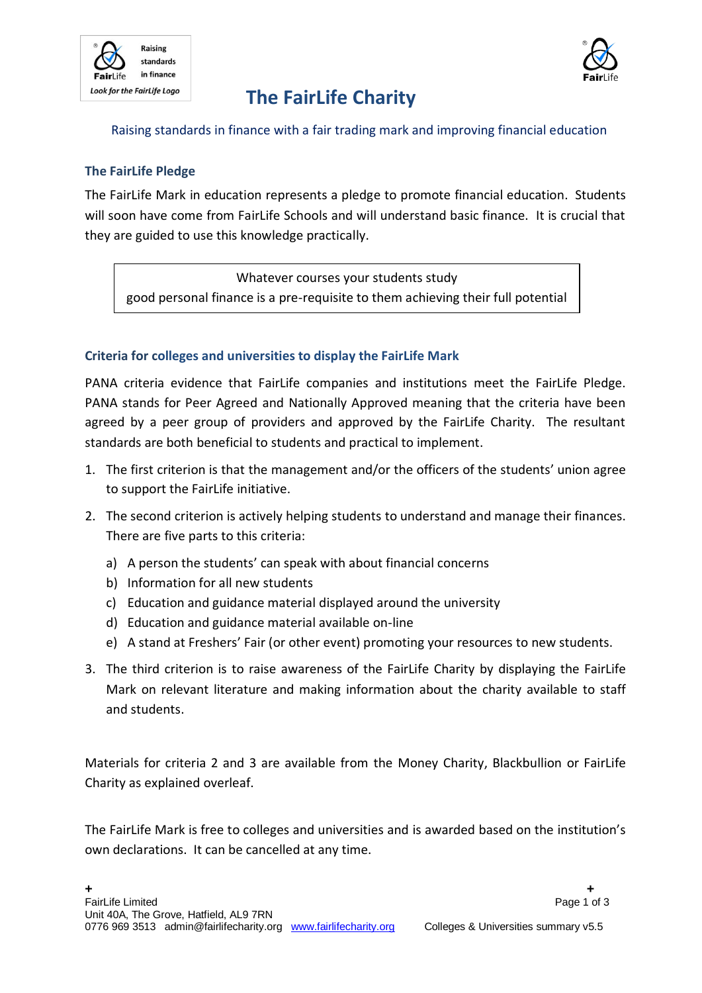



# **The FairLife Charity**

### Raising standards in finance with a fair trading mark and improving financial education

### **The FairLife Pledge**

The FairLife Mark in education represents a pledge to promote financial education. Students will soon have come from FairLife Schools and will understand basic finance. It is crucial that they are guided to use this knowledge practically.

Whatever courses your students study good personal finance is a pre-requisite to them achieving their full potential

### **Criteria for colleges and universities to display the FairLife Mark**

PANA criteria evidence that FairLife companies and institutions meet the FairLife Pledge. PANA stands for Peer Agreed and Nationally Approved meaning that the criteria have been agreed by a peer group of providers and approved by the FairLife Charity. The resultant standards are both beneficial to students and practical to implement.

- 1. The first criterion is that the management and/or the officers of the students' union agree to support the FairLife initiative.
- 2. The second criterion is actively helping students to understand and manage their finances. There are five parts to this criteria:
	- a) A person the students' can speak with about financial concerns
	- b) Information for all new students
	- c) Education and guidance material displayed around the university
	- d) Education and guidance material available on-line
	- e) A stand at Freshers' Fair (or other event) promoting your resources to new students.
- 3. The third criterion is to raise awareness of the FairLife Charity by displaying the FairLife Mark on relevant literature and making information about the charity available to staff and students.

Materials for criteria 2 and 3 are available from the Money Charity, Blackbullion or FairLife Charity as explained overleaf.

The FairLife Mark is free to colleges and universities and is awarded based on the institution's own declarations. It can be cancelled at any time.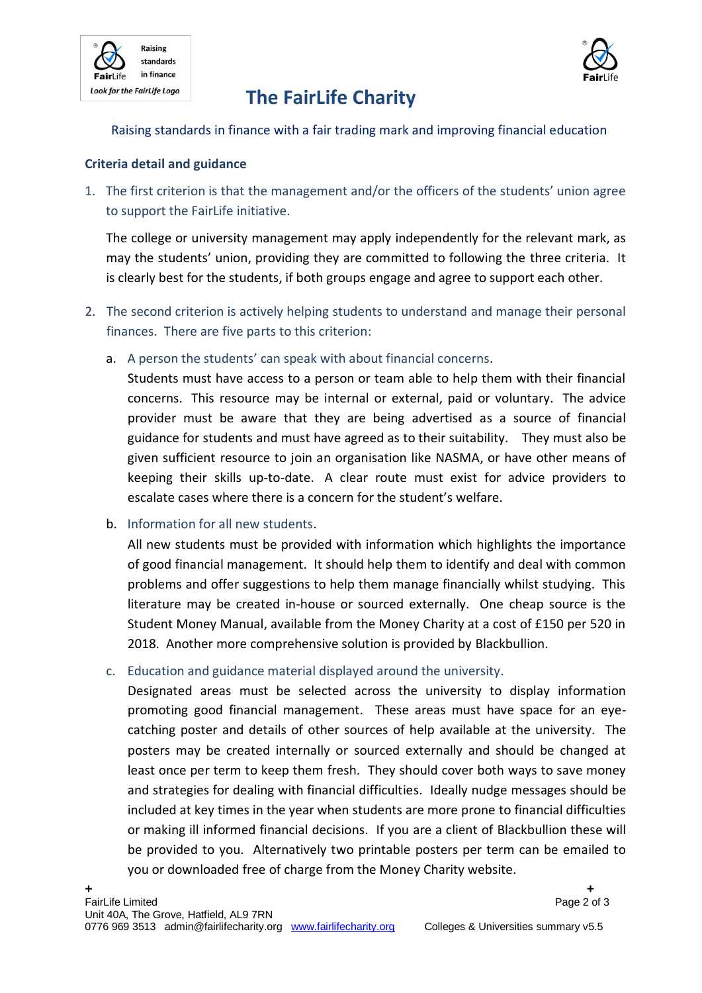



# **The FairLife Charity**

Raising standards in finance with a fair trading mark and improving financial education

### **Criteria detail and guidance**

1. The first criterion is that the management and/or the officers of the students' union agree to support the FairLife initiative.

The college or university management may apply independently for the relevant mark, as may the students' union, providing they are committed to following the three criteria. It is clearly best for the students, if both groups engage and agree to support each other.

- 2. The second criterion is actively helping students to understand and manage their personal finances. There are five parts to this criterion:
	- a. A person the students' can speak with about financial concerns.

Students must have access to a person or team able to help them with their financial concerns. This resource may be internal or external, paid or voluntary. The advice provider must be aware that they are being advertised as a source of financial guidance for students and must have agreed as to their suitability. They must also be given sufficient resource to join an organisation like NASMA, or have other means of keeping their skills up-to-date. A clear route must exist for advice providers to escalate cases where there is a concern for the student's welfare.

b. Information for all new students.

All new students must be provided with information which highlights the importance of good financial management. It should help them to identify and deal with common problems and offer suggestions to help them manage financially whilst studying. This literature may be created in-house or sourced externally. One cheap source is the Student Money Manual, available from the Money Charity at a cost of £150 per 520 in 2018. Another more comprehensive solution is provided by Blackbullion.

c. Education and guidance material displayed around the university.

Designated areas must be selected across the university to display information promoting good financial management. These areas must have space for an eyecatching poster and details of other sources of help available at the university. The posters may be created internally or sourced externally and should be changed at least once per term to keep them fresh. They should cover both ways to save money and strategies for dealing with financial difficulties. Ideally nudge messages should be included at key times in the year when students are more prone to financial difficulties or making ill informed financial decisions. If you are a client of Blackbullion these will be provided to you. Alternatively two printable posters per term can be emailed to you or downloaded free of charge from the Money Charity website.